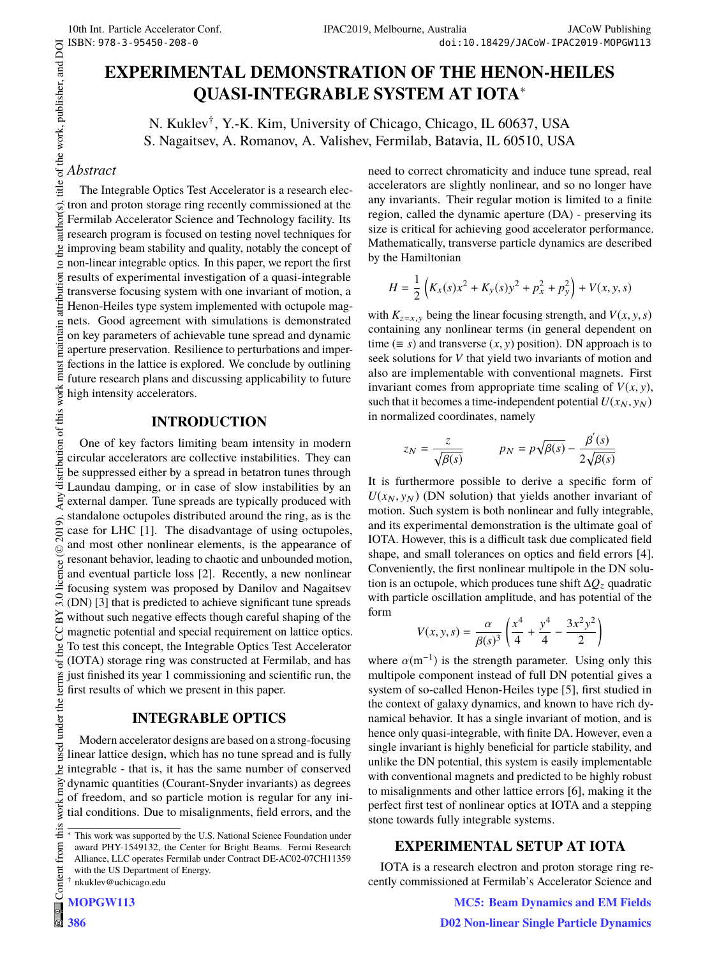# **EXPERIMENTAL DEMONSTRATION OF THE HENON-HEILES QUASI-INTEGRABLE SYSTEM AT IOTA**<sup>∗</sup>

N. Kuklev† , Y.-K. Kim, University of Chicago, Chicago, IL 60637, USA S. Nagaitsev, A. Romanov, A. Valishev, Fermilab, Batavia, IL 60510, USA

# title of the work, publisher, and DOI *Abstract*

author(s).

 $\overline{he}$ 

maintain attribution

must

 $\circledcirc$  2019). Any distribution of this work must maintain attribution to the author(s), title of the work, publisher, and DOI<br> $\sim$  as  $\sim$  as  $\sim$  as  $\sim$  as  $\sim$  as  $\sim$  as  $\sim$  as  $\sim$  as  $\sim$  as  $\sim$  as  $\sim$  as  $\sim$  as The Integrable Optics Test Accelerator is a research electron and proton storage ring recently commissioned at the Fermilab Accelerator Science and Technology facility. Its research program is focused on testing novel techniques for improving beam stability and quality, notably the concept of non-linear integrable optics. In this paper, we report the first  $\overline{S}$ results of experimental investigation of a quasi-integrable transverse focusing system with one invariant of motion, a Henon-Heiles type system implemented with octupole magnets. Good agreement with simulations is demonstrated on key parameters of achievable tune spread and dynamic aperture preservation. Resilience to perturbations and imperfections in the lattice is explored. We conclude by outlining future research plans and discussing applicability to future high intensity accelerators.

# **INTRODUCTION**

distribution of this work One of key factors limiting beam intensity in modern circular accelerators are collective instabilities. They can be suppressed either by a spread in betatron tunes through Laundau damping, or in case of slow instabilities by an  $\tilde{a}$ external damper. Tune spreads are typically produced with standalone octupoles distributed around the ring, as is the 2019). case for LHC [1]. The disadvantage of using octupoles, and most other nonlinear elements, is the appearance of licence (© Content from this work may be used under the terms of the CC BY 3.0 licence ( $@$ resonant behavior, leading to chaotic and unbounded motion, and eventual particle loss [2]. Recently, a new nonlinear focusing system was proposed by Danilov and Nagaitsev 3.0 (DN) [3] that is predicted to achieve significant tune spreads  $_{\rm N}$ without such negative effects though careful shaping of the magnetic potential and special requirement on lattice optics. g To test this concept, the Integrable Optics Test Accelerator the (IOTA) storage ring was constructed at Fermilab, and has used under the terms of just finished its year 1 commissioning and scientific run, the first results of which we present in this paper.

# **INTEGRABLE OPTICS**

Modern accelerator designs are based on a strong-focusing linear lattice design, which has no tune spread and is fully  $\mathbf{e}$ integrable - that is, it has the same number of conserved dynamic quantities (Courant-Snyder invariants) as degrees of freedom, and so particle motion is regular for any iniwork r tial conditions. Due to misalignments, field errors, and the

need to correct chromaticity and induce tune spread, real accelerators are slightly nonlinear, and so no longer have any invariants. Their regular motion is limited to a finite region, called the dynamic aperture (DA) - preserving its size is critical for achieving good accelerator performance. Mathematically, transverse particle dynamics are described by the Hamiltonian

$$
H = \frac{1}{2} \left( K_x(s) x^2 + K_y(s) y^2 + p_x^2 + p_y^2 \right) + V(x, y, s)
$$

with  $K_{z=x,y}$  being the linear focusing strength, and  $V(x, y, s)$ containing any nonlinear terms (in general dependent on time ( $\equiv s$ ) and transverse (*x*, *y*) position). DN approach is to seek solutions for *V* that yield two invariants of motion and also are implementable with conventional magnets. First invariant comes from appropriate time scaling of  $V(x, y)$ , such that it becomes a time-independent potential  $U(x_N, y_N)$ in normalized coordinates, namely

$$
z_N = \frac{z}{\sqrt{\beta(s)}} \qquad p_N = p\sqrt{\beta(s)} - \frac{\beta'(s)}{2\sqrt{\beta(s)}}
$$

It is furthermore possible to derive a specific form of  $U(x_N, y_N)$  (DN solution) that yields another invariant of motion. Such system is both nonlinear and fully integrable, and its experimental demonstration is the ultimate goal of IOTA. However, this is a difficult task due complicated field shape, and small tolerances on optics and field errors [4]. Conveniently, the first nonlinear multipole in the DN solution is an octupole, which produces tune shift ∆*Q*<sup>z</sup> quadratic with particle oscillation amplitude, and has potential of the form

$$
V(x, y, s) = \frac{\alpha}{\beta(s)^3} \left( \frac{x^4}{4} + \frac{y^4}{4} - \frac{3x^2y^2}{2} \right)
$$

where  $\alpha$ (m<sup>-1</sup>) is the strength parameter. Using only this multipole component instead of full DN potential gives a system of so-called Henon-Heiles type [5], first studied in the context of galaxy dynamics, and known to have rich dynamical behavior. It has a single invariant of motion, and is hence only quasi-integrable, with finite DA. However, even a single invariant is highly beneficial for particle stability, and unlike the DN potential, this system is easily implementable with conventional magnets and predicted to be highly robust to misalignments and other lattice errors [6], making it the perfect first test of nonlinear optics at IOTA and a stepping stone towards fully integrable systems.

## **EXPERIMENTAL SETUP AT IOTA**

IOTA is a research electron and proton storage ring recently commissioned at Fermilab's Accelerator Science and

**MC5: Beam Dynamics and EM Fields**

this from t

This work was supported by the U.S. National Science Foundation under award PHY-1549132, the Center for Bright Beams. Fermi Research Alliance, LLC operates Fermilab under Contract DE-AC02-07CH11359 with the US Department of Energy. † nkuklev@uchicago.edu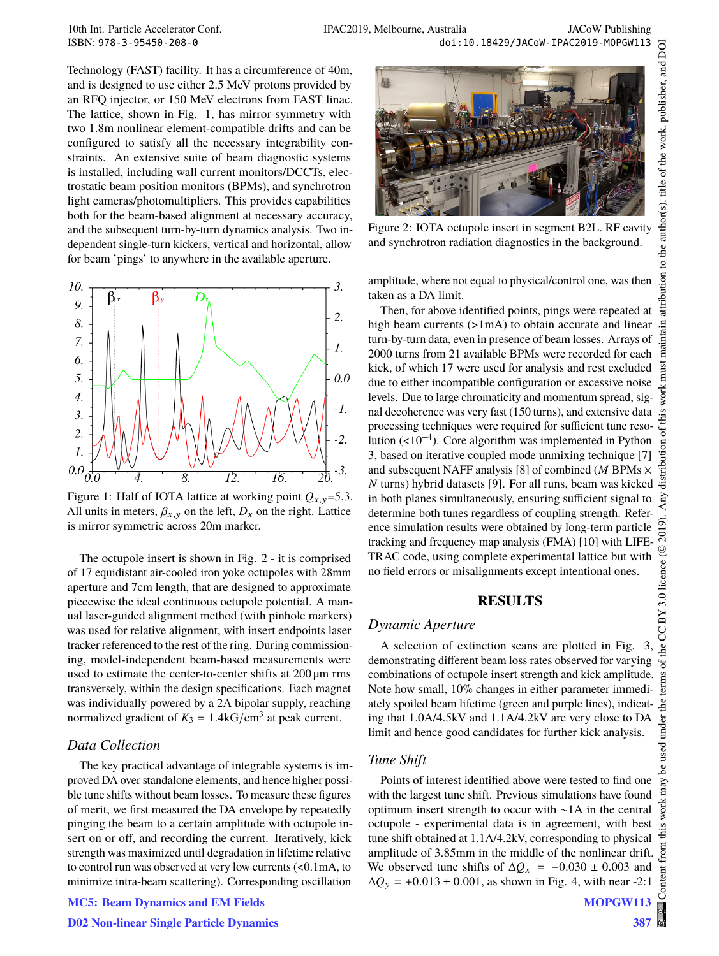Technology (FAST) facility. It has a circumference of 40m, and is designed to use either 2.5 MeV protons provided by an RFQ injector, or 150 MeV electrons from FAST linac. The lattice, shown in Fig. 1, has mirror symmetry with two 1.8m nonlinear element-compatible drifts and can be configured to satisfy all the necessary integrability constraints. An extensive suite of beam diagnostic systems is installed, including wall current monitors/DCCTs, electrostatic beam position monitors (BPMs), and synchrotron light cameras/photomultipliers. This provides capabilities both for the beam-based alignment at necessary accuracy, and the subsequent turn-by-turn dynamics analysis. Two independent single-turn kickers, vertical and horizontal, allow for beam 'pings' to anywhere in the available aperture.



Figure 1: Half of IOTA lattice at working point  $Q_{x,y}$ =5.3. All units in meters,  $\beta_{x,y}$  on the left,  $D_x$  on the right. Lattice is mirror symmetric across 20m marker.

The octupole insert is shown in Fig. 2 - it is comprised of 17 equidistant air-cooled iron yoke octupoles with 28mm aperture and 7cm length, that are designed to approximate piecewise the ideal continuous octupole potential. A manual laser-guided alignment method (with pinhole markers) was used for relative alignment, with insert endpoints laser tracker referenced to the rest of the ring. During commissioning, model-independent beam-based measurements were used to estimate the center-to-center shifts at 200  $\mu$ m rms transversely, within the design specifications. Each magnet was individually powered by a 2A bipolar supply, reaching normalized gradient of  $K_3 = 1.4 \text{kG/cm}^3$  at peak current.

#### *Data Collection*

The key practical advantage of integrable systems is improved DA over standalone elements, and hence higher possible tune shifts without beam losses. To measure these figures of merit, we first measured the DA envelope by repeatedly pinging the beam to a certain amplitude with octupole insert on or off, and recording the current. Iteratively, kick strength was maximized until degradation in lifetime relative to control run was observed at very low currents (<0.1mA, to minimize intra-beam scattering). Corresponding oscillation

# **MC5: Beam Dynamics and EM Fields**



Figure 2: IOTA octupole insert in segment B2L. RF cavity and synchrotron radiation diagnostics in the background.

amplitude, where not equal to physical/control one, was then taken as a DA limit.

Then, for above identified points, pings were repeated at high beam currents (>1mA) to obtain accurate and linear turn-by-turn data, even in presence of beam losses. Arrays of 2000 turns from 21 available BPMs were recorded for each kick, of which 17 were used for analysis and rest excluded due to either incompatible configuration or excessive noise levels. Due to large chromaticity and momentum spread, signal decoherence was very fast (150 turns), and extensive data processing techniques were required for sufficient tune resolution (<10−<sup>4</sup> ). Core algorithm was implemented in Python 3, based on iterative coupled mode unmixing technique [7] and subsequent NAFF analysis [8] of combined (*M* BPMs × *N* turns) hybrid datasets [9]. For all runs, beam was kicked in both planes simultaneously, ensuring sufficient signal to determine both tunes regardless of coupling strength. Reference simulation results were obtained by long-term particle tracking and frequency map analysis (FMA) [10] with LIFE-TRAC code, using complete experimental lattice but with no field errors or misalignments except intentional ones.

# **RESULTS**

#### *Dynamic Aperture*

A selection of extinction scans are plotted in Fig. 3, demonstrating different beam loss rates observed for varying combinations of octupole insert strength and kick amplitude. Note how small, 10% changes in either parameter immediately spoiled beam lifetime (green and purple lines), indicating that 1.0A/4.5kV and 1.1A/4.2kV are very close to DA limit and hence good candidates for further kick analysis.

#### *Tune Shift*

Points of interest identified above were tested to find one with the largest tune shift. Previous simulations have found optimum insert strength to occur with ∼1A in the central octupole - experimental data is in agreement, with best tune shift obtained at 1.1A/4.2kV, corresponding to physical amplitude of 3.85mm in the middle of the nonlinear drift. We observed tune shifts of  $\Delta Q_x$  =  $-0.030 \pm 0.003$  and  $\Delta Q_y$  = +0.013 ± 0.001, as shown in Fig. 4, with near -2:1

**387**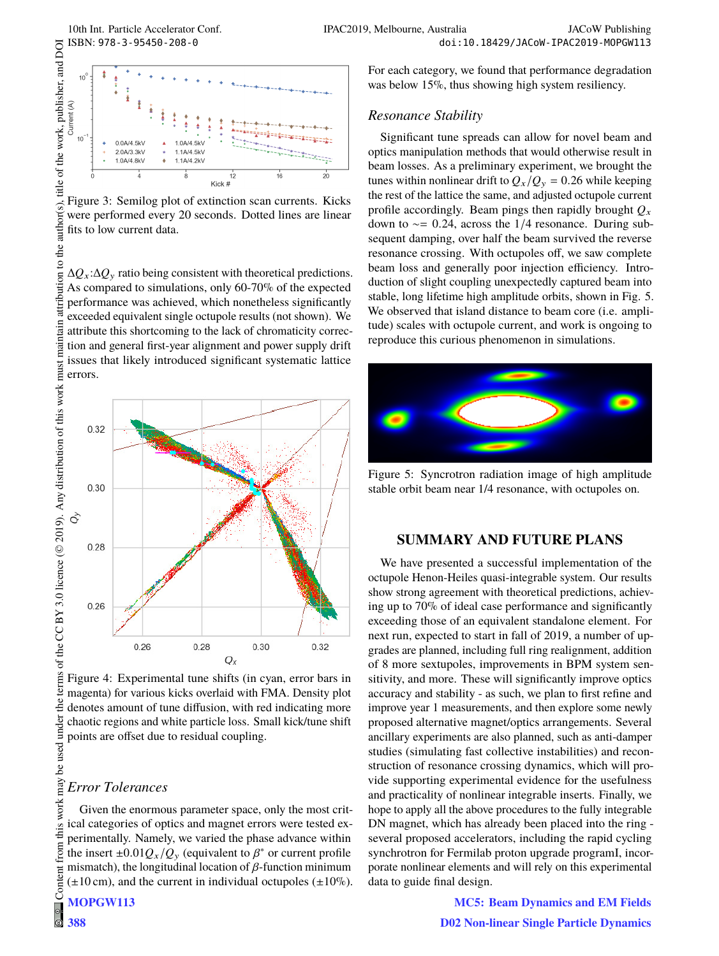

Figure 3: Semilog plot of extinction scan currents. Kicks were performed every 20 seconds. Dotted lines are linear fits to low current data.

∆*Q*x:∆*Q*<sup>y</sup> ratio being consistent with theoretical predictions. As compared to simulations, only 60-70% of the expected performance was achieved, which nonetheless significantly exceeded equivalent single octupole results (not shown). We attribute this shortcoming to the lack of chromaticity correction and general first-year alignment and power supply drift issues that likely introduced significant systematic lattice errors.



Figure 4: Experimental tune shifts (in cyan, error bars in magenta) for various kicks overlaid with FMA. Density plot denotes amount of tune diffusion, with red indicating more chaotic regions and white particle loss. Small kick/tune shift points are offset due to residual coupling.

#### *Error Tolerances*

Given the enormous parameter space, only the most critical categories of optics and magnet errors were tested experimentally. Namely, we varied the phase advance within the insert  $\pm 0.01 Q_x/Q_y$  (equivalent to  $\beta^*$  or current profile mismatch), the longitudinal location of  $\beta$ -function minimum  $(\pm 10 \text{ cm})$ , and the current in individual octupoles  $(\pm 10\%)$ .

**388**

#### *Resonance Stability*

Significant tune spreads can allow for novel beam and optics manipulation methods that would otherwise result in beam losses. As a preliminary experiment, we brought the tunes within nonlinear drift to  $Q_x/Q_y = 0.26$  while keeping the rest of the lattice the same, and adjusted octupole current profile accordingly. Beam pings then rapidly brought  $O<sub>x</sub>$ down to ∼= 0.24, across the 1/4 resonance. During subsequent damping, over half the beam survived the reverse resonance crossing. With octupoles off, we saw complete beam loss and generally poor injection efficiency. Introduction of slight coupling unexpectedly captured beam into stable, long lifetime high amplitude orbits, shown in Fig. 5. We observed that island distance to beam core (i.e. amplitude) scales with octupole current, and work is ongoing to reproduce this curious phenomenon in simulations.



Figure 5: Syncrotron radiation image of high amplitude stable orbit beam near 1/4 resonance, with octupoles on.

# **SUMMARY AND FUTURE PLANS**

We have presented a successful implementation of the octupole Henon-Heiles quasi-integrable system. Our results show strong agreement with theoretical predictions, achieving up to 70% of ideal case performance and significantly exceeding those of an equivalent standalone element. For next run, expected to start in fall of 2019, a number of upgrades are planned, including full ring realignment, addition of 8 more sextupoles, improvements in BPM system sensitivity, and more. These will significantly improve optics accuracy and stability - as such, we plan to first refine and improve year 1 measurements, and then explore some newly proposed alternative magnet/optics arrangements. Several ancillary experiments are also planned, such as anti-damper studies (simulating fast collective instabilities) and reconstruction of resonance crossing dynamics, which will provide supporting experimental evidence for the usefulness and practicality of nonlinear integrable inserts. Finally, we hope to apply all the above procedures to the fully integrable DN magnet, which has already been placed into the ring several proposed accelerators, including the rapid cycling synchrotron for Fermilab proton upgrade programI, incorporate nonlinear elements and will rely on this experimental data to guide final design.

> **MC5: Beam Dynamics and EM Fields D02 Non-linear Single Particle Dynamics**